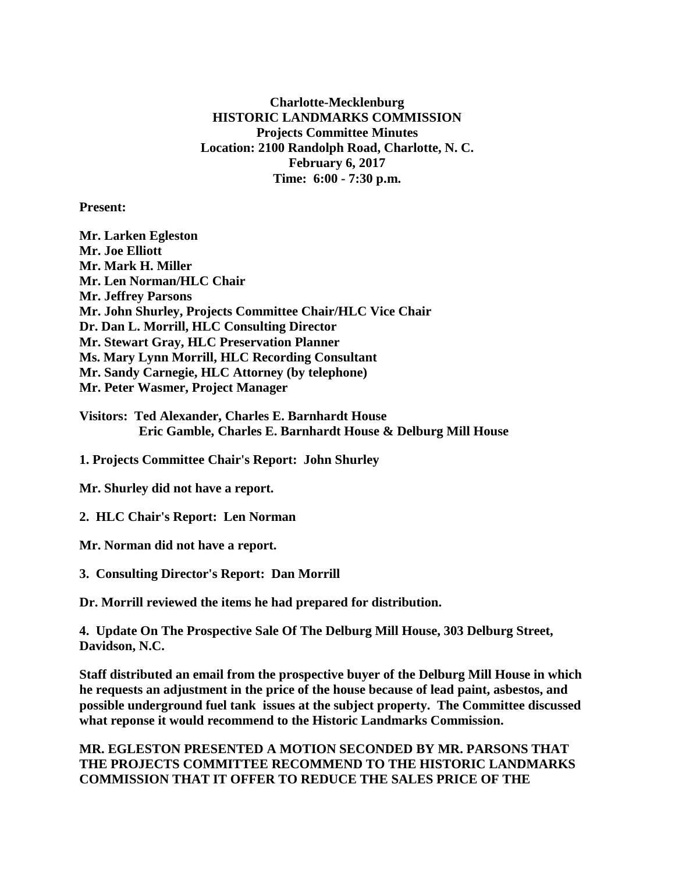**Charlotte-Mecklenburg HISTORIC LANDMARKS COMMISSION Projects Committee Minutes Location: 2100 Randolph Road, Charlotte, N. C. February 6, 2017 Time: 6:00 - 7:30 p.m.**

**Present:**

**Mr. Larken Egleston Mr. Joe Elliott Mr. Mark H. Miller Mr. Len Norman/HLC Chair Mr. Jeffrey Parsons Mr. John Shurley, Projects Committee Chair/HLC Vice Chair Dr. Dan L. Morrill, HLC Consulting Director Mr. Stewart Gray, HLC Preservation Planner Ms. Mary Lynn Morrill, HLC Recording Consultant Mr. Sandy Carnegie, HLC Attorney (by telephone) Mr. Peter Wasmer, Project Manager**

**Visitors: Ted Alexander, Charles E. Barnhardt House Eric Gamble, Charles E. Barnhardt House & Delburg Mill House**

**1. Projects Committee Chair's Report: John Shurley**

**Mr. Shurley did not have a report.**

**2. HLC Chair's Report: Len Norman**

**Mr. Norman did not have a report.**

**3. Consulting Director's Report: Dan Morrill**

**Dr. Morrill reviewed the items he had prepared for distribution.**

**4. Update On The Prospective Sale Of The Delburg Mill House, 303 Delburg Street, Davidson, N.C.**

**Staff distributed an email from the prospective buyer of the Delburg Mill House in which he requests an adjustment in the price of the house because of lead paint, asbestos, and possible underground fuel tank issues at the subject property. The Committee discussed what reponse it would recommend to the Historic Landmarks Commission.**

**MR. EGLESTON PRESENTED A MOTION SECONDED BY MR. PARSONS THAT THE PROJECTS COMMITTEE RECOMMEND TO THE HISTORIC LANDMARKS COMMISSION THAT IT OFFER TO REDUCE THE SALES PRICE OF THE**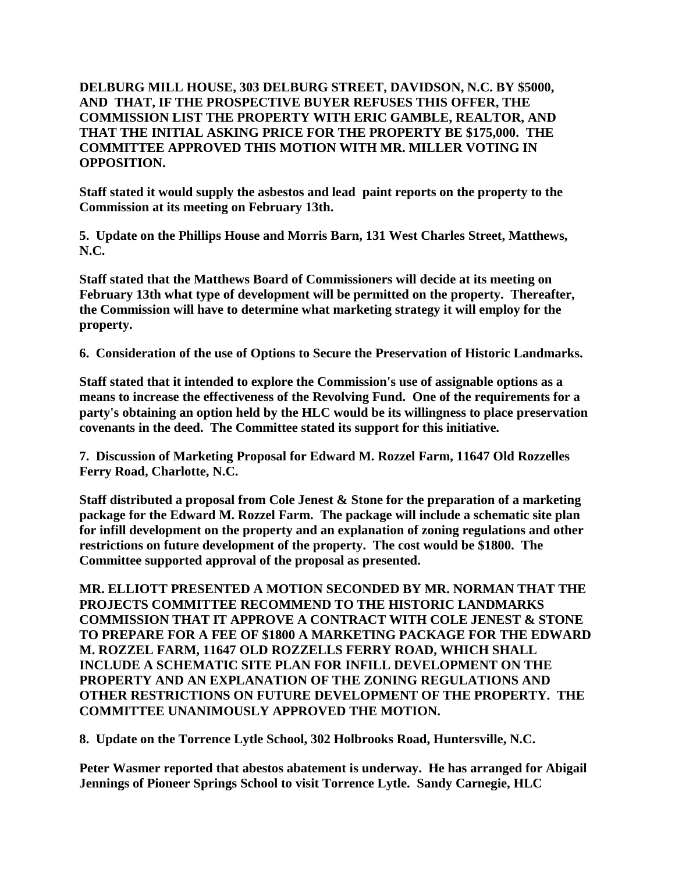**DELBURG MILL HOUSE, 303 DELBURG STREET, DAVIDSON, N.C. BY \$5000, AND THAT, IF THE PROSPECTIVE BUYER REFUSES THIS OFFER, THE COMMISSION LIST THE PROPERTY WITH ERIC GAMBLE, REALTOR, AND THAT THE INITIAL ASKING PRICE FOR THE PROPERTY BE \$175,000. THE COMMITTEE APPROVED THIS MOTION WITH MR. MILLER VOTING IN OPPOSITION.**

**Staff stated it would supply the asbestos and lead paint reports on the property to the Commission at its meeting on February 13th.**

**5. Update on the Phillips House and Morris Barn, 131 West Charles Street, Matthews, N.C.**

**Staff stated that the Matthews Board of Commissioners will decide at its meeting on February 13th what type of development will be permitted on the property. Thereafter, the Commission will have to determine what marketing strategy it will employ for the property.**

**6. Consideration of the use of Options to Secure the Preservation of Historic Landmarks.**

**Staff stated that it intended to explore the Commission's use of assignable options as a means to increase the effectiveness of the Revolving Fund. One of the requirements for a party's obtaining an option held by the HLC would be its willingness to place preservation covenants in the deed. The Committee stated its support for this initiative.**

**7. Discussion of Marketing Proposal for Edward M. Rozzel Farm, 11647 Old Rozzelles Ferry Road, Charlotte, N.C.** 

**Staff distributed a proposal from Cole Jenest & Stone for the preparation of a marketing package for the Edward M. Rozzel Farm. The package will include a schematic site plan for infill development on the property and an explanation of zoning regulations and other restrictions on future development of the property. The cost would be \$1800. The Committee supported approval of the proposal as presented.**

**MR. ELLIOTT PRESENTED A MOTION SECONDED BY MR. NORMAN THAT THE PROJECTS COMMITTEE RECOMMEND TO THE HISTORIC LANDMARKS COMMISSION THAT IT APPROVE A CONTRACT WITH COLE JENEST & STONE TO PREPARE FOR A FEE OF \$1800 A MARKETING PACKAGE FOR THE EDWARD M. ROZZEL FARM, 11647 OLD ROZZELLS FERRY ROAD, WHICH SHALL INCLUDE A SCHEMATIC SITE PLAN FOR INFILL DEVELOPMENT ON THE PROPERTY AND AN EXPLANATION OF THE ZONING REGULATIONS AND OTHER RESTRICTIONS ON FUTURE DEVELOPMENT OF THE PROPERTY. THE COMMITTEE UNANIMOUSLY APPROVED THE MOTION.**

**8. Update on the Torrence Lytle School, 302 Holbrooks Road, Huntersville, N.C.**

**Peter Wasmer reported that abestos abatement is underway. He has arranged for Abigail Jennings of Pioneer Springs School to visit Torrence Lytle. Sandy Carnegie, HLC**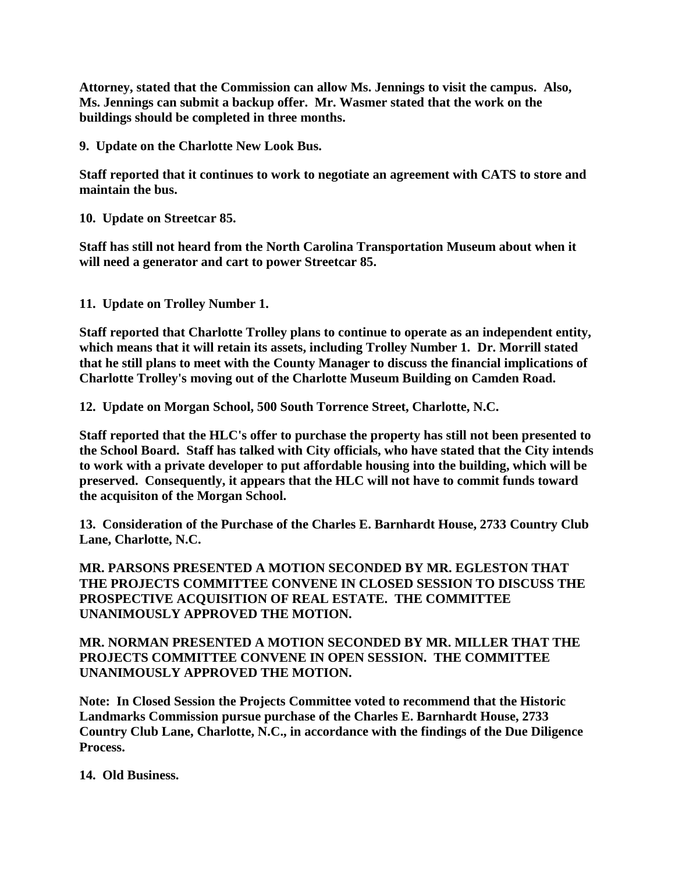**Attorney, stated that the Commission can allow Ms. Jennings to visit the campus. Also, Ms. Jennings can submit a backup offer. Mr. Wasmer stated that the work on the buildings should be completed in three months.** 

**9. Update on the Charlotte New Look Bus.**

**Staff reported that it continues to work to negotiate an agreement with CATS to store and maintain the bus.**

**10. Update on Streetcar 85.**

**Staff has still not heard from the North Carolina Transportation Museum about when it will need a generator and cart to power Streetcar 85.**

**11. Update on Trolley Number 1.** 

**Staff reported that Charlotte Trolley plans to continue to operate as an independent entity, which means that it will retain its assets, including Trolley Number 1. Dr. Morrill stated that he still plans to meet with the County Manager to discuss the financial implications of Charlotte Trolley's moving out of the Charlotte Museum Building on Camden Road.**

**12. Update on Morgan School, 500 South Torrence Street, Charlotte, N.C.**

**Staff reported that the HLC's offer to purchase the property has still not been presented to the School Board. Staff has talked with City officials, who have stated that the City intends to work with a private developer to put affordable housing into the building, which will be preserved. Consequently, it appears that the HLC will not have to commit funds toward the acquisiton of the Morgan School.**

**13. Consideration of the Purchase of the Charles E. Barnhardt House, 2733 Country Club Lane, Charlotte, N.C.**

**MR. PARSONS PRESENTED A MOTION SECONDED BY MR. EGLESTON THAT THE PROJECTS COMMITTEE CONVENE IN CLOSED SESSION TO DISCUSS THE PROSPECTIVE ACQUISITION OF REAL ESTATE. THE COMMITTEE UNANIMOUSLY APPROVED THE MOTION.**

**MR. NORMAN PRESENTED A MOTION SECONDED BY MR. MILLER THAT THE PROJECTS COMMITTEE CONVENE IN OPEN SESSION. THE COMMITTEE UNANIMOUSLY APPROVED THE MOTION.**

**Note: In Closed Session the Projects Committee voted to recommend that the Historic Landmarks Commission pursue purchase of the Charles E. Barnhardt House, 2733 Country Club Lane, Charlotte, N.C., in accordance with the findings of the Due Diligence Process.**

**14. Old Business.**